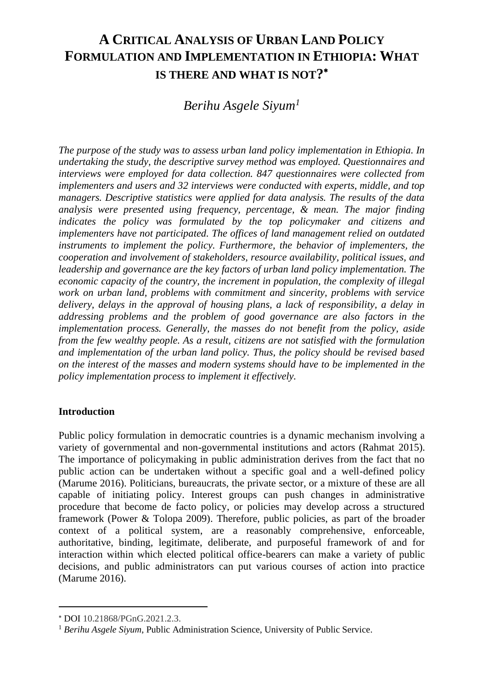# **A CRITICAL ANALYSIS OF URBAN LAND POLICY FORMULATION AND IMPLEMENTATION IN ETHIOPIA: WHAT IS THERE AND WHAT IS NOT?**

*Berihu Asgele Siyum<sup>1</sup>*

*The purpose of the study was to assess urban land policy implementation in Ethiopia. In undertaking the study, the descriptive survey method was employed. Questionnaires and interviews were employed for data collection. 847 questionnaires were collected from implementers and users and 32 interviews were conducted with experts, middle, and top managers. Descriptive statistics were applied for data analysis. The results of the data analysis were presented using frequency, percentage, & mean. The major finding indicates the policy was formulated by the top policymaker and citizens and implementers have not participated. The offices of land management relied on outdated instruments to implement the policy. Furthermore, the behavior of implementers, the cooperation and involvement of stakeholders, resource availability, political issues, and leadership and governance are the key factors of urban land policy implementation. The economic capacity of the country, the increment in population, the complexity of illegal work on urban land, problems with commitment and sincerity, problems with service delivery, delays in the approval of housing plans, a lack of responsibility, a delay in addressing problems and the problem of good governance are also factors in the implementation process. Generally, the masses do not benefit from the policy, aside from the few wealthy people. As a result, citizens are not satisfied with the formulation and implementation of the urban land policy. Thus, the policy should be revised based on the interest of the masses and modern systems should have to be implemented in the policy implementation process to implement it effectively.*

# **Introduction**

Public policy formulation in democratic countries is a dynamic mechanism involving a variety of governmental and non-governmental institutions and actors (Rahmat 2015). The importance of policymaking in public administration derives from the fact that no public action can be undertaken without a specific goal and a well-defined policy (Marume 2016). Politicians, bureaucrats, the private sector, or a mixture of these are all capable of initiating policy. Interest groups can push changes in administrative procedure that become de facto policy, or policies may develop across a structured framework (Power & Tolopa 2009). Therefore, public policies, as part of the broader context of a political system, are a reasonably comprehensive, enforceable, authoritative, binding, legitimate, deliberate, and purposeful framework of and for interaction within which elected political office-bearers can make a variety of public decisions, and public administrators can put various courses of action into practice (Marume 2016).

DOI 10.21868/PGnG.2021.2.3.

<sup>&</sup>lt;sup>1</sup> Berihu Asgele Siyum, Public Administration Science, University of Public Service.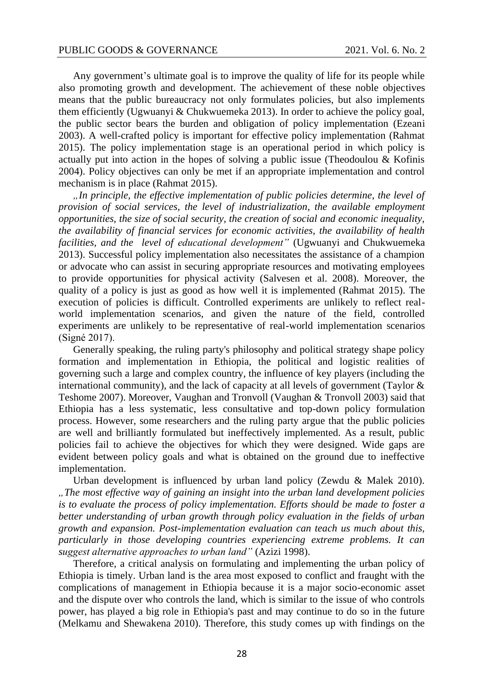Any government's ultimate goal is to improve the quality of life for its people while also promoting growth and development. The achievement of these noble objectives means that the public bureaucracy not only formulates policies, but also implements them efficiently (Ugwuanyi & Chukwuemeka 2013). In order to achieve the policy goal, the public sector bears the burden and obligation of policy implementation (Ezeani 2003). A well-crafted policy is important for effective policy implementation (Rahmat 2015). The policy implementation stage is an operational period in which policy is actually put into action in the hopes of solving a public issue (Theodoulou  $&$  Kofinis 2004). Policy objectives can only be met if an appropriate implementation and control mechanism is in place (Rahmat 2015).

*"In principle, the effective implementation of public policies determine, the level of provision of social services, the level of industrialization, the available employment opportunities, the size of social security, the creation of social and economic inequality, the availability of financial services for economic activities, the availability of health facilities, and the level of educational development"* (Ugwuanyi and Chukwuemeka 2013). Successful policy implementation also necessitates the assistance of a champion or advocate who can assist in securing appropriate resources and motivating employees to provide opportunities for physical activity (Salvesen et al. 2008). Moreover, the quality of a policy is just as good as how well it is implemented (Rahmat 2015). The execution of policies is difficult. Controlled experiments are unlikely to reflect realworld implementation scenarios, and given the nature of the field, controlled experiments are unlikely to be representative of real-world implementation scenarios (Signé 2017).

Generally speaking, the ruling party's philosophy and political strategy shape policy formation and implementation in Ethiopia, the political and logistic realities of governing such a large and complex country, the influence of key players (including the international community), and the lack of capacity at all levels of government (Taylor  $\&$ Teshome 2007). Moreover, Vaughan and Tronvoll (Vaughan & Tronvoll 2003) said that Ethiopia has a less systematic, less consultative and top-down policy formulation process. However, some researchers and the ruling party argue that the public policies are well and brilliantly formulated but ineffectively implemented. As a result, public policies fail to achieve the objectives for which they were designed. Wide gaps are evident between policy goals and what is obtained on the ground due to ineffective implementation.

Urban development is influenced by urban land policy (Zewdu & Malek 2010). *"The most effective way of gaining an insight into the urban land development policies is to evaluate the process of policy implementation. Efforts should be made to foster a better understanding of urban growth through policy evaluation in the fields of urban growth and expansion. Post-implementation evaluation can teach us much about this, particularly in those developing countries experiencing extreme problems. It can suggest alternative approaches to urban land"* (Azizi 1998).

Therefore, a critical analysis on formulating and implementing the urban policy of Ethiopia is timely. Urban land is the area most exposed to conflict and fraught with the complications of management in Ethiopia because it is a major socio-economic asset and the dispute over who controls the land, which is similar to the issue of who controls power, has played a big role in Ethiopia's past and may continue to do so in the future (Melkamu and Shewakena 2010). Therefore, this study comes up with findings on the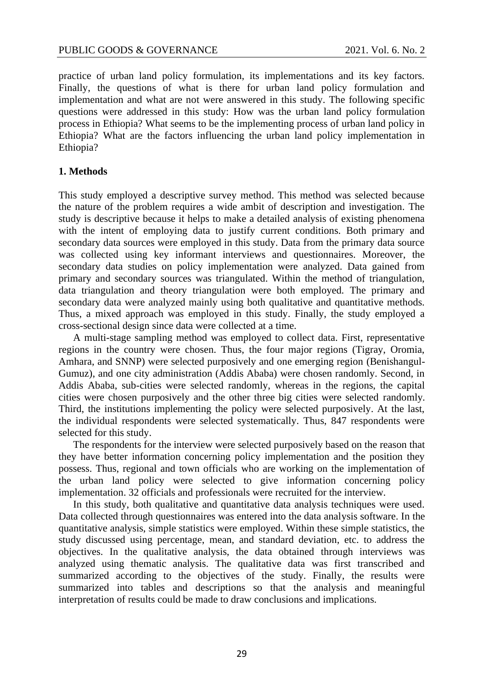practice of urban land policy formulation, its implementations and its key factors. Finally, the questions of what is there for urban land policy formulation and implementation and what are not were answered in this study. The following specific questions were addressed in this study: How was the urban land policy formulation process in Ethiopia? What seems to be the implementing process of urban land policy in Ethiopia? What are the factors influencing the urban land policy implementation in Ethiopia?

## **1. Methods**

This study employed a descriptive survey method. This method was selected because the nature of the problem requires a wide ambit of description and investigation. The study is descriptive because it helps to make a detailed analysis of existing phenomena with the intent of employing data to justify current conditions. Both primary and secondary data sources were employed in this study. Data from the primary data source was collected using key informant interviews and questionnaires. Moreover, the secondary data studies on policy implementation were analyzed. Data gained from primary and secondary sources was triangulated. Within the method of triangulation, data triangulation and theory triangulation were both employed. The primary and secondary data were analyzed mainly using both qualitative and quantitative methods. Thus, a mixed approach was employed in this study. Finally, the study employed a cross-sectional design since data were collected at a time.

A multi-stage sampling method was employed to collect data. First, representative regions in the country were chosen. Thus, the four major regions (Tigray, Oromia, Amhara, and SNNP) were selected purposively and one emerging region (Benishangul-Gumuz), and one city administration (Addis Ababa) were chosen randomly. Second, in Addis Ababa, sub-cities were selected randomly, whereas in the regions, the capital cities were chosen purposively and the other three big cities were selected randomly. Third, the institutions implementing the policy were selected purposively. At the last, the individual respondents were selected systematically. Thus, 847 respondents were selected for this study.

The respondents for the interview were selected purposively based on the reason that they have better information concerning policy implementation and the position they possess. Thus, regional and town officials who are working on the implementation of the urban land policy were selected to give information concerning policy implementation. 32 officials and professionals were recruited for the interview.

In this study, both qualitative and quantitative data analysis techniques were used. Data collected through questionnaires was entered into the data analysis software. In the quantitative analysis, simple statistics were employed. Within these simple statistics, the study discussed using percentage, mean, and standard deviation, etc. to address the objectives. In the qualitative analysis, the data obtained through interviews was analyzed using thematic analysis. The qualitative data was first transcribed and summarized according to the objectives of the study. Finally, the results were summarized into tables and descriptions so that the analysis and meaningful interpretation of results could be made to draw conclusions and implications.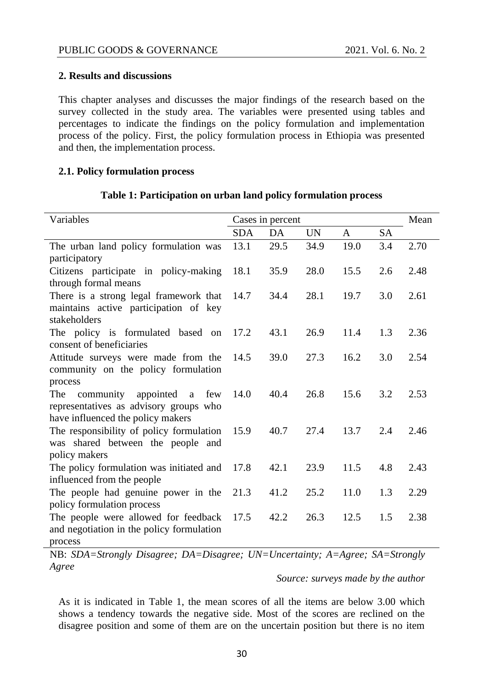# **2. Results and discussions**

This chapter analyses and discusses the major findings of the research based on the survey collected in the study area. The variables were presented using tables and percentages to indicate the findings on the policy formulation and implementation process of the policy. First, the policy formulation process in Ethiopia was presented and then, the implementation process.

## **2.1. Policy formulation process**

| Variables                                             | Cases in percent |      |           |              | Mean      |      |
|-------------------------------------------------------|------------------|------|-----------|--------------|-----------|------|
|                                                       | <b>SDA</b>       | DA   | <b>UN</b> | $\mathsf{A}$ | <b>SA</b> |      |
| The urban land policy formulation was                 | 13.1             | 29.5 | 34.9      | 19.0         | 3.4       | 2.70 |
| participatory                                         |                  |      |           |              |           |      |
| Citizens participate in policy-making                 | 18.1             | 35.9 | 28.0      | 15.5         | 2.6       | 2.48 |
| through formal means                                  |                  |      |           |              |           |      |
| There is a strong legal framework that                | 14.7             | 34.4 | 28.1      | 19.7         | 3.0       | 2.61 |
| maintains active participation of key<br>stakeholders |                  |      |           |              |           |      |
| The policy is formulated based on                     | 17.2             | 43.1 | 26.9      | 11.4         | 1.3       | 2.36 |
| consent of beneficiaries                              |                  |      |           |              |           |      |
| Attitude surveys were made from the                   | 14.5             | 39.0 | 27.3      | 16.2         | 3.0       | 2.54 |
| community on the policy formulation                   |                  |      |           |              |           |      |
| process                                               |                  |      |           |              |           |      |
| community appointed<br>The<br>a few                   | 14.0             | 40.4 | 26.8      | 15.6         | 3.2       | 2.53 |
| representatives as advisory groups who                |                  |      |           |              |           |      |
| have influenced the policy makers                     |                  |      |           |              |           |      |
| The responsibility of policy formulation              | 15.9             | 40.7 | 27.4      | 13.7         | 2.4       | 2.46 |
| was shared between the people and                     |                  |      |           |              |           |      |
| policy makers                                         |                  |      |           |              |           |      |
| The policy formulation was initiated and              | 17.8             | 42.1 | 23.9      | 11.5         | 4.8       | 2.43 |
| influenced from the people                            |                  |      |           |              |           |      |
| The people had genuine power in the                   | 21.3             | 41.2 | 25.2      | 11.0         | 1.3       | 2.29 |
| policy formulation process                            |                  |      |           |              |           |      |
| The people were allowed for feedback                  | 17.5             | 42.2 | 26.3      | 12.5         | 1.5       | 2.38 |
| and negotiation in the policy formulation             |                  |      |           |              |           |      |
| process                                               |                  |      |           |              |           |      |

## **Table 1: Participation on urban land policy formulation process**

NB: *SDA=Strongly Disagree; DA=Disagree; UN=Uncertainty; A=Agree; SA=Strongly Agree*

*Source: surveys made by the author*

As it is indicated in Table 1, the mean scores of all the items are below 3.00 which shows a tendency towards the negative side. Most of the scores are reclined on the disagree position and some of them are on the uncertain position but there is no item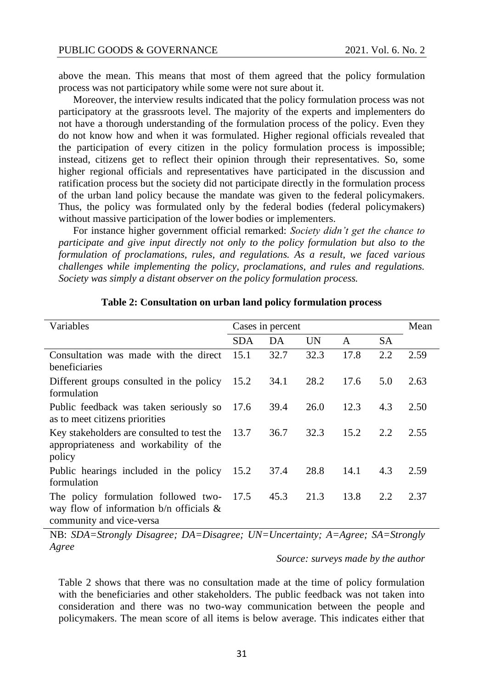above the mean. This means that most of them agreed that the policy formulation process was not participatory while some were not sure about it.

Moreover, the interview results indicated that the policy formulation process was not participatory at the grassroots level. The majority of the experts and implementers do not have a thorough understanding of the formulation process of the policy. Even they do not know how and when it was formulated. Higher regional officials revealed that the participation of every citizen in the policy formulation process is impossible; instead, citizens get to reflect their opinion through their representatives. So, some higher regional officials and representatives have participated in the discussion and ratification process but the society did not participate directly in the formulation process of the urban land policy because the mandate was given to the federal policymakers. Thus, the policy was formulated only by the federal bodies (federal policymakers) without massive participation of the lower bodies or implementers.

For instance higher government official remarked: *Society didn't get the chance to participate and give input directly not only to the policy formulation but also to the formulation of proclamations, rules, and regulations. As a result, we faced various challenges while implementing the policy, proclamations, and rules and regulations. Society was simply a distant observer on the policy formulation process.*

| Variables                                                                                                        | Cases in percent |      |      |      | Mean |      |
|------------------------------------------------------------------------------------------------------------------|------------------|------|------|------|------|------|
|                                                                                                                  | SDA              | DA   | UN   | A    | SА   |      |
| Consultation was made with the direct<br>beneficiaries                                                           | 15.1             | 32.7 | 32.3 | 17.8 | 2.2  | 2.59 |
| Different groups consulted in the policy<br>formulation                                                          | 15.2             | 34.1 | 28.2 | 17.6 | 5.0  | 2.63 |
| Public feedback was taken seriously so<br>as to meet citizens priorities                                         | 17.6             | 39.4 | 26.0 | 12.3 | 4.3  | 2.50 |
| Key stakeholders are consulted to test the<br>appropriateness and workability of the<br>policy                   | 13.7             | 36.7 | 32.3 | 15.2 | 2.2  | 2.55 |
| Public hearings included in the policy<br>formulation                                                            | 15.2             | 37.4 | 28.8 | 14.1 | 4.3  | 2.59 |
| The policy formulation followed two-<br>way flow of information $b/n$ officials $\&$<br>community and vice-versa | 17.5             | 45.3 | 21.3 | 13.8 | 2.2  | 2.37 |

## **Table 2: Consultation on urban land policy formulation process**

NB: *SDA=Strongly Disagree; DA=Disagree; UN=Uncertainty; A=Agree; SA=Strongly Agree*

## *Source: surveys made by the author*

Table 2 shows that there was no consultation made at the time of policy formulation with the beneficiaries and other stakeholders. The public feedback was not taken into consideration and there was no two-way communication between the people and policymakers. The mean score of all items is below average. This indicates either that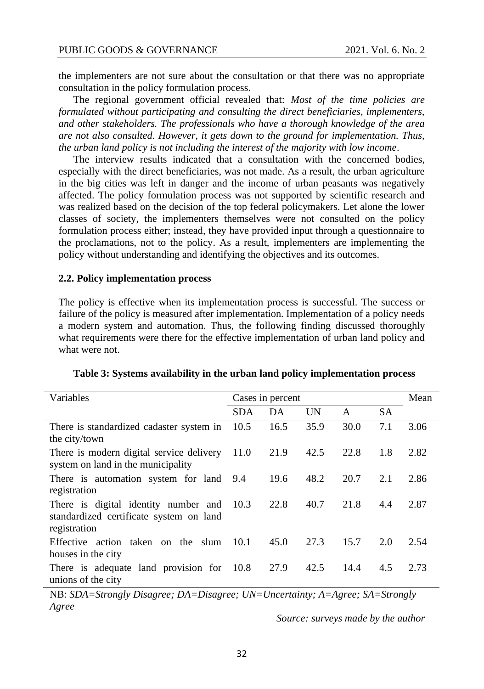the implementers are not sure about the consultation or that there was no appropriate consultation in the policy formulation process.

The regional government official revealed that: *Most of the time policies are formulated without participating and consulting the direct beneficiaries, implementers, and other stakeholders. The professionals who have a thorough knowledge of the area are not also consulted. However, it gets down to the ground for implementation. Thus, the urban land policy is not including the interest of the majority with low income.* 

The interview results indicated that a consultation with the concerned bodies, especially with the direct beneficiaries, was not made. As a result, the urban agriculture in the big cities was left in danger and the income of urban peasants was negatively affected. The policy formulation process was not supported by scientific research and was realized based on the decision of the top federal policymakers. Let alone the lower classes of society, the implementers themselves were not consulted on the policy formulation process either; instead, they have provided input through a questionnaire to the proclamations, not to the policy. As a result, implementers are implementing the policy without understanding and identifying the objectives and its outcomes.

#### **2.2. Policy implementation process**

The policy is effective when its implementation process is successful. The success or failure of the policy is measured after implementation. Implementation of a policy needs a modern system and automation. Thus, the following finding discussed thoroughly what requirements were there for the effective implementation of urban land policy and what were not.

| Variables                                                                                       | Cases in percent |      |           |      | Mean      |      |
|-------------------------------------------------------------------------------------------------|------------------|------|-----------|------|-----------|------|
|                                                                                                 | <b>SDA</b>       | DA   | <b>UN</b> | A    | <b>SA</b> |      |
| There is standardized cadaster system in<br>the city/town                                       | 10.5             | 16.5 | 35.9      | 30.0 | 7.1       | 3.06 |
| There is modern digital service delivery<br>system on land in the municipality                  | 11.0             | 21.9 | 42.5      | 22.8 | 1.8       | 2.82 |
| There is automation system for land 9.4<br>registration                                         |                  | 19.6 | 48.2      | 20.7 | 2.1       | 2.86 |
| There is digital identity number and<br>standardized certificate system on land<br>registration | 10.3             | 22.8 | 40.7      | 21.8 | 4.4       | 2.87 |
| Effective action taken on the slum<br>houses in the city                                        | 10.1             | 45.0 | 27.3      | 15.7 | 2.0       | 2.54 |
| There is adequate land provision for 10.8<br>unions of the city                                 |                  | 27.9 | 42.5      | 14.4 | 4.5       | 2.73 |

**Table 3: Systems availability in the urban land policy implementation process**

NB: *SDA=Strongly Disagree; DA=Disagree; UN=Uncertainty; A=Agree; SA=Strongly Agree*

*Source: surveys made by the author*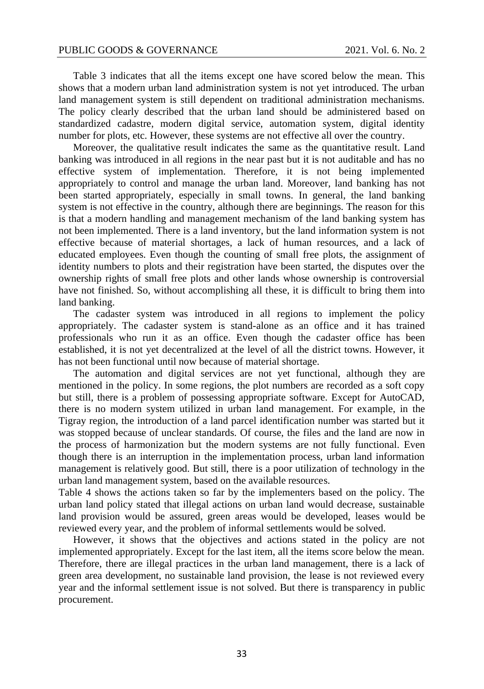Table 3 indicates that all the items except one have scored below the mean. This shows that a modern urban land administration system is not yet introduced. The urban land management system is still dependent on traditional administration mechanisms. The policy clearly described that the urban land should be administered based on standardized cadastre, modern digital service, automation system, digital identity number for plots, etc. However, these systems are not effective all over the country.

Moreover, the qualitative result indicates the same as the quantitative result. Land banking was introduced in all regions in the near past but it is not auditable and has no effective system of implementation. Therefore, it is not being implemented appropriately to control and manage the urban land. Moreover, land banking has not been started appropriately, especially in small towns. In general, the land banking system is not effective in the country, although there are beginnings. The reason for this is that a modern handling and management mechanism of the land banking system has not been implemented. There is a land inventory, but the land information system is not effective because of material shortages, a lack of human resources, and a lack of educated employees. Even though the counting of small free plots, the assignment of identity numbers to plots and their registration have been started, the disputes over the ownership rights of small free plots and other lands whose ownership is controversial have not finished. So, without accomplishing all these, it is difficult to bring them into land banking.

The cadaster system was introduced in all regions to implement the policy appropriately. The cadaster system is stand-alone as an office and it has trained professionals who run it as an office. Even though the cadaster office has been established, it is not yet decentralized at the level of all the district towns. However, it has not been functional until now because of material shortage.

The automation and digital services are not yet functional, although they are mentioned in the policy. In some regions, the plot numbers are recorded as a soft copy but still, there is a problem of possessing appropriate software. Except for AutoCAD, there is no modern system utilized in urban land management. For example, in the Tigray region, the introduction of a land parcel identification number was started but it was stopped because of unclear standards. Of course, the files and the land are now in the process of harmonization but the modern systems are not fully functional. Even though there is an interruption in the implementation process, urban land information management is relatively good. But still, there is a poor utilization of technology in the urban land management system, based on the available resources.

Table 4 shows the actions taken so far by the implementers based on the policy. The urban land policy stated that illegal actions on urban land would decrease, sustainable land provision would be assured, green areas would be developed, leases would be reviewed every year, and the problem of informal settlements would be solved.

However, it shows that the objectives and actions stated in the policy are not implemented appropriately. Except for the last item, all the items score below the mean. Therefore, there are illegal practices in the urban land management, there is a lack of green area development, no sustainable land provision, the lease is not reviewed every year and the informal settlement issue is not solved. But there is transparency in public procurement.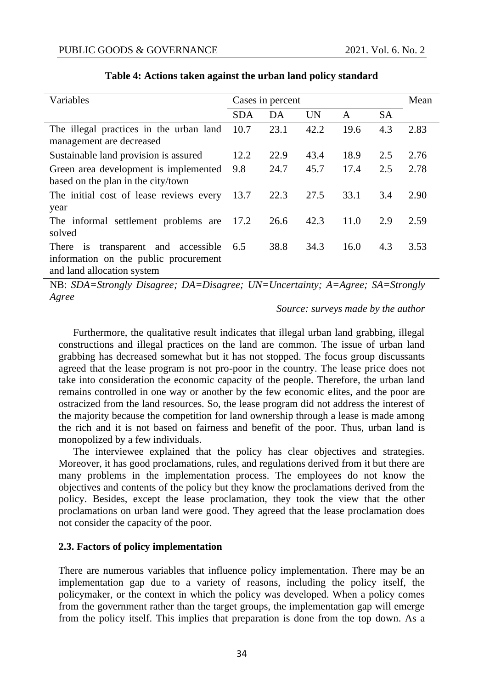| Variables                                                                                                               | Cases in percent |      |      |      | Mean      |      |
|-------------------------------------------------------------------------------------------------------------------------|------------------|------|------|------|-----------|------|
|                                                                                                                         | <b>SDA</b>       | DA   | UN   | A    | <b>SA</b> |      |
| The illegal practices in the urban land                                                                                 | 10.7             | 23.1 | 42.2 | 19.6 | 4.3       | 2.83 |
| management are decreased                                                                                                |                  |      |      |      |           |      |
| Sustainable land provision is assured                                                                                   | 12.2             | 22.9 | 43.4 | 18.9 | 2.5       | 2.76 |
| Green area development is implemented<br>based on the plan in the city/town                                             | 9.8              | 24.7 | 45.7 | 17.4 | 2.5       | 2.78 |
| The initial cost of lease reviews every<br>year                                                                         | 13.7             | 22.3 | 27.5 | 33.1 | 3.4       | 2.90 |
| The informal settlement problems are<br>solved                                                                          | 17.2             | 26.6 | 42.3 | 11.0 | 2.9       | 2.59 |
| transparent and accessible<br><i>is</i><br>There<br>information on the public procurement<br>and land allocation system | 6.5              | 38.8 | 34.3 | 16.0 | 4.3       | 3.53 |

# **Table 4: Actions taken against the urban land policy standard**

NB: *SDA=Strongly Disagree; DA=Disagree; UN=Uncertainty; A=Agree; SA=Strongly Agree*

## *Source: surveys made by the author*

Furthermore, the qualitative result indicates that illegal urban land grabbing, illegal constructions and illegal practices on the land are common. The issue of urban land grabbing has decreased somewhat but it has not stopped. The focus group discussants agreed that the lease program is not pro-poor in the country. The lease price does not take into consideration the economic capacity of the people. Therefore, the urban land remains controlled in one way or another by the few economic elites, and the poor are ostracized from the land resources. So, the lease program did not address the interest of the majority because the competition for land ownership through a lease is made among the rich and it is not based on fairness and benefit of the poor. Thus, urban land is monopolized by a few individuals.

The interviewee explained that the policy has clear objectives and strategies. Moreover, it has good proclamations, rules, and regulations derived from it but there are many problems in the implementation process. The employees do not know the objectives and contents of the policy but they know the proclamations derived from the policy. Besides, except the lease proclamation, they took the view that the other proclamations on urban land were good. They agreed that the lease proclamation does not consider the capacity of the poor.

## **2.3. Factors of policy implementation**

There are numerous variables that influence policy implementation. There may be an implementation gap due to a variety of reasons, including the policy itself, the policymaker, or the context in which the policy was developed. When a policy comes from the government rather than the target groups, the implementation gap will emerge from the policy itself. This implies that preparation is done from the top down. As a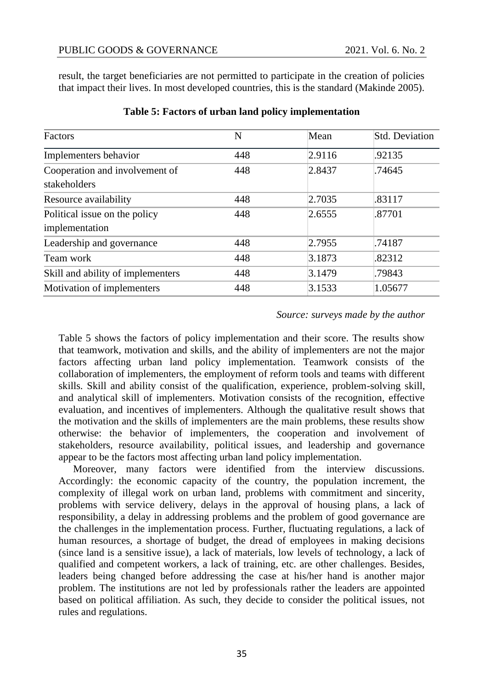result, the target beneficiaries are not permitted to participate in the creation of policies that impact their lives. In most developed countries, this is the standard (Makinde 2005).

| Factors                                         | N   | Mean   | <b>Std. Deviation</b> |
|-------------------------------------------------|-----|--------|-----------------------|
| Implementers behavior                           | 448 | 2.9116 | .92135                |
| Cooperation and involvement of<br>stakeholders  | 448 | 2.8437 | .74645                |
| Resource availability                           | 448 | 2.7035 | .83117                |
| Political issue on the policy<br>implementation | 448 | 2.6555 | .87701                |
| Leadership and governance                       | 448 | 2.7955 | .74187                |
| Team work                                       | 448 | 3.1873 | .82312                |
| Skill and ability of implementers               | 448 | 3.1479 | .79843                |
| Motivation of implementers                      | 448 | 3.1533 | 1.05677               |

## **Table 5: Factors of urban land policy implementation**

## *Source: surveys made by the author*

Table 5 shows the factors of policy implementation and their score. The results show that teamwork, motivation and skills, and the ability of implementers are not the major factors affecting urban land policy implementation. Teamwork consists of the collaboration of implementers, the employment of reform tools and teams with different skills. Skill and ability consist of the qualification, experience, problem-solving skill, and analytical skill of implementers. Motivation consists of the recognition, effective evaluation, and incentives of implementers. Although the qualitative result shows that the motivation and the skills of implementers are the main problems, these results show otherwise: the behavior of implementers, the cooperation and involvement of stakeholders, resource availability, political issues, and leadership and governance appear to be the factors most affecting urban land policy implementation.

Moreover, many factors were identified from the interview discussions. Accordingly: the economic capacity of the country, the population increment, the complexity of illegal work on urban land, problems with commitment and sincerity, problems with service delivery, delays in the approval of housing plans, a lack of responsibility, a delay in addressing problems and the problem of good governance are the challenges in the implementation process. Further, fluctuating regulations, a lack of human resources, a shortage of budget, the dread of employees in making decisions (since land is a sensitive issue), a lack of materials, low levels of technology, a lack of qualified and competent workers, a lack of training, etc. are other challenges. Besides, leaders being changed before addressing the case at his/her hand is another major problem. The institutions are not led by professionals rather the leaders are appointed based on political affiliation. As such, they decide to consider the political issues, not rules and regulations.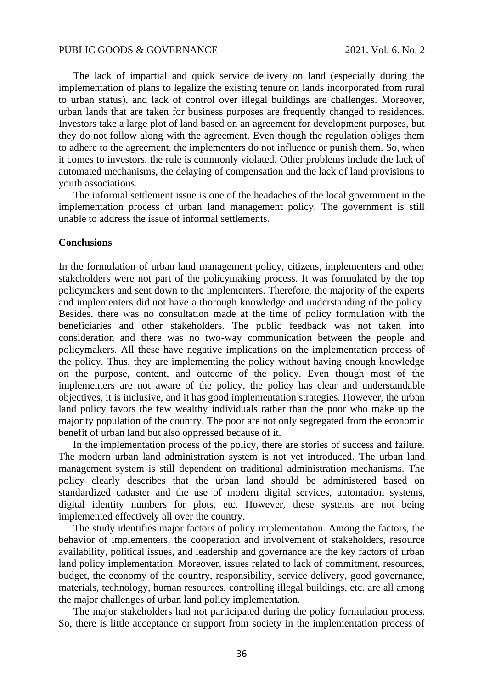The lack of impartial and quick service delivery on land (especially during the implementation of plans to legalize the existing tenure on lands incorporated from rural to urban status), and lack of control over illegal buildings are challenges. Moreover, urban lands that are taken for business purposes are frequently changed to residences. Investors take a large plot of land based on an agreement for development purposes, but they do not follow along with the agreement. Even though the regulation obliges them to adhere to the agreement, the implementers do not influence or punish them. So, when it comes to investors, the rule is commonly violated. Other problems include the lack of automated mechanisms, the delaying of compensation and the lack of land provisions to youth associations.

The informal settlement issue is one of the headaches of the local government in the implementation process of urban land management policy. The government is still unable to address the issue of informal settlements.

## **Conclusions**

In the formulation of urban land management policy, citizens, implementers and other stakeholders were not part of the policymaking process. It was formulated by the top policymakers and sent down to the implementers. Therefore, the majority of the experts and implementers did not have a thorough knowledge and understanding of the policy. Besides, there was no consultation made at the time of policy formulation with the beneficiaries and other stakeholders. The public feedback was not taken into consideration and there was no two-way communication between the people and policymakers. All these have negative implications on the implementation process of the policy. Thus, they are implementing the policy without having enough knowledge on the purpose, content, and outcome of the policy. Even though most of the implementers are not aware of the policy, the policy has clear and understandable objectives, it is inclusive, and it has good implementation strategies. However, the urban land policy favors the few wealthy individuals rather than the poor who make up the majority population of the country. The poor are not only segregated from the economic benefit of urban land but also oppressed because of it.

In the implementation process of the policy, there are stories of success and failure. The modern urban land administration system is not yet introduced. The urban land management system is still dependent on traditional administration mechanisms. The policy clearly describes that the urban land should be administered based on standardized cadaster and the use of modern digital services, automation systems, digital identity numbers for plots, etc. However, these systems are not being implemented effectively all over the country.

The study identifies major factors of policy implementation. Among the factors, the behavior of implementers, the cooperation and involvement of stakeholders, resource availability, political issues, and leadership and governance are the key factors of urban land policy implementation. Moreover, issues related to lack of commitment, resources, budget, the economy of the country, responsibility, service delivery, good governance, materials, technology, human resources, controlling illegal buildings, etc. are all among the major challenges of urban land policy implementation.

The major stakeholders had not participated during the policy formulation process. So, there is little acceptance or support from society in the implementation process of